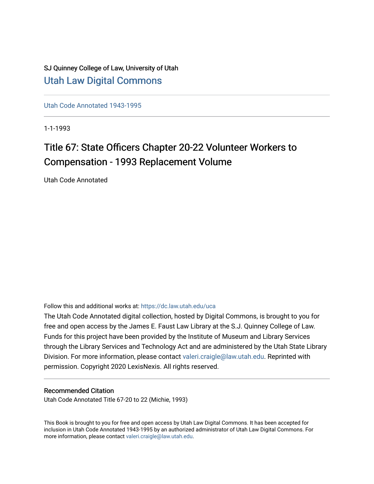SJ Quinney College of Law, University of Utah [Utah Law Digital Commons](https://dc.law.utah.edu/)

[Utah Code Annotated 1943-1995](https://dc.law.utah.edu/uca) 

1-1-1993

# Title 67: State Officers Chapter 20-22 Volunteer Workers to Compensation - 1993 Replacement Volume

Utah Code Annotated

Follow this and additional works at: [https://dc.law.utah.edu/uca](https://dc.law.utah.edu/uca?utm_source=dc.law.utah.edu%2Fuca%2F432&utm_medium=PDF&utm_campaign=PDFCoverPages)

The Utah Code Annotated digital collection, hosted by Digital Commons, is brought to you for free and open access by the James E. Faust Law Library at the S.J. Quinney College of Law. Funds for this project have been provided by the Institute of Museum and Library Services through the Library Services and Technology Act and are administered by the Utah State Library Division. For more information, please contact [valeri.craigle@law.utah.edu.](mailto:valeri.craigle@law.utah.edu) Reprinted with permission. Copyright 2020 LexisNexis. All rights reserved.

## Recommended Citation

Utah Code Annotated Title 67-20 to 22 (Michie, 1993)

This Book is brought to you for free and open access by Utah Law Digital Commons. It has been accepted for inclusion in Utah Code Annotated 1943-1995 by an authorized administrator of Utah Law Digital Commons. For more information, please contact [valeri.craigle@law.utah.edu.](mailto:valeri.craigle@law.utah.edu)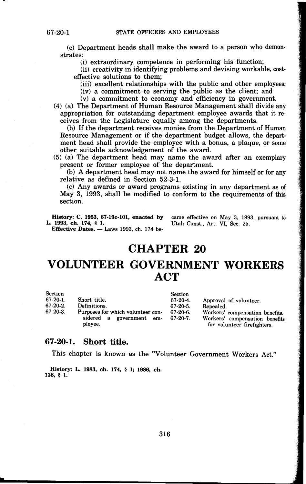(c) Department heads shall make the award to a person who demonstrates:

(i) extraordinary competence in performing his function;

(ii) creativity in identifying problems and devising workable, costeffective solutions to them;

(iii) excellent relationships with the public and other employees;

(iv) a commitment to serving the public as the client; and

(v) a commitment to economy and efficiency in government.

(4) (a) The Department of Human Resource Management shall divide any appropriation for outstanding department employee awards that it receives from the Legislature equally among the departments.

(b) If the department receives monies from the Department of Human Resource Management or if the department budget allows, the department head shall provide the employee with a bonus, a plaque, or some other suitable acknowledgement of the award.

(5) (a) The department head may name the award after an exemplary present or former employee of the department.

(b) A department head may not name the award for himself or for any relative as defined in Section 52-3-1.

(c) Any awards or award programs existing in any department as of May 3, 1993, shall be modified to conform to the requirements of this section.

**History:** C. **1953, 67-19c-101, enacted by L. 1993, ch. 174,** § **1.**  Effective Dates. - Laws 1993, ch. 174 became effective on May 3, 1993, pursuant to Utah Const., Art. VI, Sec. 25.

## **CHAPTER 20**

# **VOLUNTEER GOVERNMENT WORKERS ACT**

| <b>Section</b> |                                                                          | <b>Section</b>            |                                                                                                  |
|----------------|--------------------------------------------------------------------------|---------------------------|--------------------------------------------------------------------------------------------------|
| $67-20-1$ .    | Short title.                                                             | $67-20-4.$                | Approval of volunteer.                                                                           |
| $67-20-2$ .    | Definitions.                                                             | 67-20-5.                  | Repealed.                                                                                        |
| $67-20-3$ .    | Purposes for which volunteer con-<br>sidered a government em-<br>ployee. | $67-20-6.$<br>$67-20-7$ . | Workers' compensation benefits.<br>Workers' compensation benefits<br>for volunteer firefighters. |

## **67-20-1. Short title.**

This chapter is known as the "Volunteer Government Workers Act."

**History: L. 1983, ch. 174,** § **1; 1986, ch. 136,** § **1.**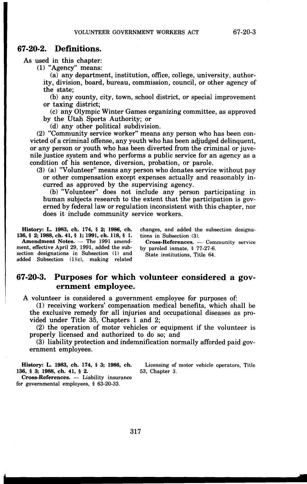### **67-20-2. Definitions.**

As used in this chapter:

(1) "Agency" means:

(a) any department, institution, office, college, university, authority, division, board, bureau, commission, council, or other agency of the state;

(b) any county, city, town, school district, or special improvement or taxing district;

(c) any Olympic Winter Games organizing committee, as approved by the Utah Sports Authority; or

(d) any other political subdivision.

(2) "Community service worker" means any person who has been convicted of a criminal offense, any youth who has been adjudged delinquent, or any person or youth who has been diverted from the criminal or juvenile justice system and who performs a public service for an agency as a condition of his sentence, diversion, probation, or parole.

(3) (a) "Volunteer" means any person who donates service without pay or other compensation except expenses actually and reasonably incurred as approved by the supervising agency.

(b) "Volunteer" does not include any person participating in human subjects research to the extent that the participation is governed by federal law or regulation inconsistent with this chapter, nor does it include community service workers.

**History: L. 1983, ch. 174,** § **2; 1986, ch. 136,** § **2; 1988,ch.41,** § **1; 1991,ch. 118,** § 1. Amendment Notes. - The 1991 amendment, effective April 29, 1991, added the subsection designations in Subsection (1) and added Subsection (1)(c), making related

changes, and added the subsection designations in Subsection (3).

**Cross-References.** - Community service by paroled inmate, § 77-27-6.

State institutions, Title 64.

## **67-20-3. Purposes for which volunteer considered a government employee.**

A volunteer is considered a government employee for purposes of:

(1) receiving workers' compensation medical benefits, which shall be the exclusive remedy for all injuries and occupational diseases as provided under Title 35, Chapters 1 and 2;

(2) the operation of motor vehicles or equipment if the volunteer is properly licensed and authorized to do so; and

(3) liability protection and indemnification normally afforded paid government employees.

**History: L. 1983, ch. 174,** § **3; 1986, ch. 136,** § **3; 1988, ch. 41,** § **2.**  53, Chapter 3.

Cross-References. - Liability insurance for governmental employees, § 63-20-33.

Licensing of motor vehicle operators, Title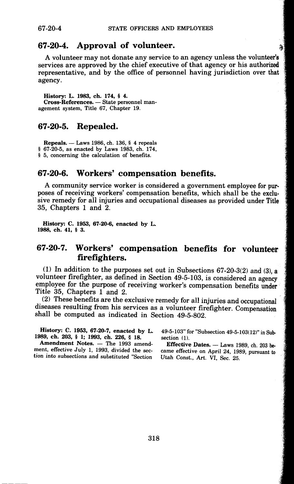## **67-20-4. Approval of volunteer.**

A volunteer may not donate any service to an agency unless the volunteer's services are approved by the chief executive of that agency or his authorized representative, and by the office of personnel having jurisdiction over that agency.

**History: L. 1983, ch. 174,** § **4. Cross-References.** - State personnel management system, Title 67, Chapter 19.

## **67-20-5. Repealed.**

**Repeals.** - Laws 1986, ch. 136, § 4 repeals § 67-20-5, as enacted by Laws 1983, ch. 174, § 5, concerning the calculation of benefits.

## **67-20-6. Workers' compensation benefits.**

A community service worker is considered a government employee for purposes of receiving workers' compensation benefits, which shall be the exclusive remedy for all injuries and occupational diseases as provided under Title 35, Chapters 1 and 2.

**History: C. 1953, 67-20-6, enacted by L. 1988, ch. 41,** § **3.** 

## **67-20-7. Workers' compensation benefits for volunteer firefighters.**

(1) In addition to the purposes set out in Subsections 67-20-3(2) and (3), **a**  volunteer firefighter, as defined in Section 49-5-103, is considered an agency employee for the purpose of receiving worker's compensation benefits under Title 35, Chapters 1 and 2.

(2) These benefits are the exclusive remedy for all injuries and occupational diseases resulting from his services as a volunteer firefighter. Compensation shall be computed as indicated in Section 49-5-802.

**History: C. 1953, 67-20-7, enacted by L. 1989, ch. 203,** § **1; 1993, ch. 226,** § **18.** 

Amendment Notes. - The 1993 amendment, effective July 1, 1993, divided the section into subsections and substituted "Section

49-5-103" for "Subsection 49-5-103(12)" in Subsection (1).

Effective Dates. - Laws 1989, ch. 203 became effective on April 24, 1989, pursuant to Utah Const., Art. VI, Sec. 25.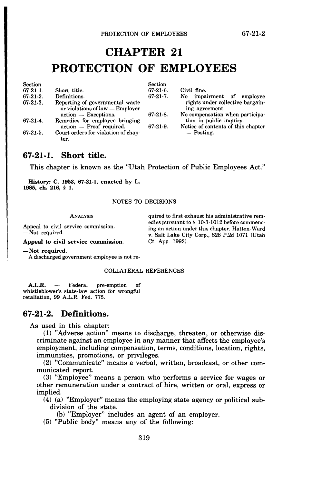# **CHAPTER 21 PROTECTION OF EMPLOYEES**

| Short title.                                                       | $67-21-6.$  | Civil fine.                                        |
|--------------------------------------------------------------------|-------------|----------------------------------------------------|
| Definitions.                                                       | $67-21-7$ . | impairment of employee<br>No l                     |
| Reporting of governmental waste<br>or violations of law - Employer |             | rights under collective bargain-<br>ing agreement. |
| action - Exceptions.                                               | $67-21-8.$  | No compensation when participa-                    |
| Remedies for employee bringing                                     |             | tion in public inquiry.                            |
| action — Proof required.                                           | $67-21-9.$  | Notice of contents of this chapter                 |
| Court orders for violation of chap-<br>ter.                        |             | — Posting.                                         |
|                                                                    |             | Section                                            |

## **67-21-1. Short title.**

This chapter is known as the "Utah Protection of Public Employees Act."

**History: C. 1953, 67-21-1, enacted by L. 1985, ch. 216,** § **1.** 

NOTES TO DECISIONS

ANALYSIS

Appeal to civil service commission. -Not required.

quired to first exhaust his administrative remedies pursuant to§ 10-3-1012 before commencing an action under this chapter. Hatton-Ward v. Salt Lake City Corp., 828 P.2d 1071 (Utah Ct. App. 1992).

**Appeal to civil service commission. -Not required.** 

A discharged government employee is not re-

#### COLLATERAL REFERENCES

A.L.R. — Federal pre-emption of whistleblower's state-law action for wrongful retaliation, 99 A.L.R. Fed. 775.

## **67-21-2. Definitions.**

As used in this chapter:

(1) "Adverse action" means to discharge, threaten, or otherwise discriminate against an employee in any manner that affects the employee's employment, including compensation, terms, conditions, location, rights, immunities, promotions, or privileges.

(2) "Communicate" means a verbal, written, broadcast, or other communicated report.

(3) "Employee" means a person who performs a service for wages or other remuneration under a contract of hire, written or oral, express or implied.

(4) (a) "Employer" means the employing state agency or political subdivision of the state.

(b) "Employer" includes an agent of an employer.

(5) "Public body" means any of the following: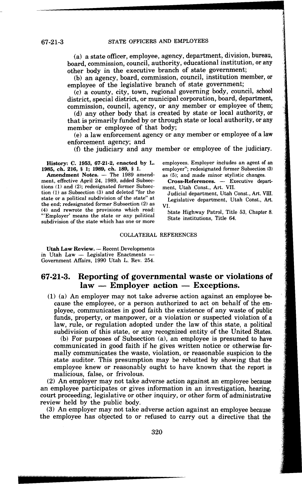(a) a state officer, employee, agency, department, division, bureau, board, commission, council, authority, educational institution, or any other body in the executive branch of state government;

(b) an agency, board, commission, council, institution member, or employee of the legislative branch of state government;

(c) a county, city, town, regional governing body, council, school district, special district, or municipal corporation, board, department, commission, council, agency, or any member or employee of them;

(d) any other body that is created by state or local authority, or that is primarily funded by or through state or local authority, or any member or employee of that body;

(e) a law enforcement agency or any member or employee of a law enforcement agency; and

(f) the judiciary and any member or employee of the judiciary.

**History: C. 1953, 67-21-2, enacted by L. 1985, ch. 216,** § **1; 1989, ch. 189,** § **1.** 

ment, effective April 24, 1989, added Subsections (1) and (2); redesignated former Subsection (1) as Subsection (3) and deleted "for the state or a political subdivision of the state" at the end; redesignated former Subsection (2) as (4) and rewrote the provisions which read: '"Employer' means the state or any political subdivision of the state which has one or more employees. Employer includes an agent of an employer"; redesignated former Subsection (3) as (5); and made minor stylistic changes.

-

Cross-References. - Executive department, Utah Const., Art. VII.

Judicial department, Utah Const., Art. VIII. Legislative department, Utah Const., **Art. VI.** 

State Highway Patrol, Title 53, Chapter 8. State institutions, Title 64.

#### COLLATERAL REFERENCES

Utah Law Review. - Recent Developments in Utah Law  $-$  Legislative Enactments Government Affairs, 1990 Utah L. Rev. 254.

## **67-21-3. Reporting of governmental waste or violations of**  law - Employer action - Exceptions.

(1) (a) An employer may not take adverse action against an employee because the employee, or a person authorized to act on behalf of the employee, communicates in good faith the existence of any waste of public funds, property, or manpower, or a violation or suspected violation of a law, rule, or regulation adopted under the law of this state, a political subdivision of this state, or any recognized entity of the United States.

(b) For purposes of Subsection (a), an employee is presumed to have communicated in good faith if he gives written notice or otherwise formally communicates the waste, violation, or reasonable suspicion to the state auditor. This presumption may be rebutted by showing that the employee knew or reasonably ought to have known that the report is malicious, false, or frivolous.

(2) An employer may not take adverse action against an employee because an employee participates or gives information in an investigation, hearing, court proceeding, legislative or other inquiry, or other form of administrative review held by the public body.

(3) An employer may not take adverse action against an employee because the employee has objected to or refused to carry out a directive that the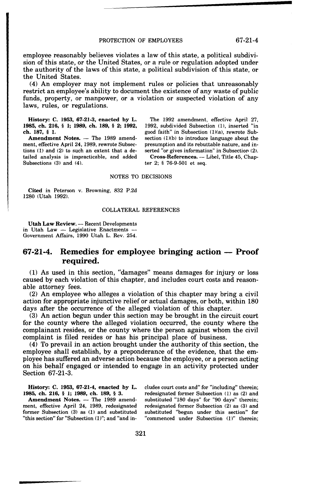employee reasonably believes violates a law of this state, a political subdivision of this state, or the United States, or a rule or regulation adopted under the authority of the laws of this state, a political subdivision of this state, or the United States.

(4) An employer may not implement rules or policies that unreasonably restrict an employee's ability to document the existence of any waste of public funds, property, or manpower, or a violation or suspected violation of any laws, rules, or regulations.

**History: C. 1953, 67-21-3, enacted by L. 1985, ch. 216,** § **l; 1989, ch. 189,** § **2; 1992, ch. 187,** § I.

Amendment Notes. - The 1989 amendment, effective April 24, 1989, rewrote Subsections (1) and (2) to such an extent that a detailed analysis is impracticable, and added Subsections (3) and (4).

The 1992 amendment, effective April 27, 1992, subdivided Subsection (1), inserted "in good faith" in Subsection (1)(a), rewrote Subsection  $(1)(b)$  to introduce language about the presumption and its rebuttable nature, and inserted "or gives information" in Subsection (2).

Cross-References. - Libel, Title 45, Chapter 2; § 76-9-501 et seq.

#### NOTES TO DECISIONS

**Cited** in Peterson v. Browning, 832 P.2d 1280 (Utah 1992).

#### COLLATERAL REFERENCES

**Utah Law Review. -- Recent Developments** in Utah Law  $-$  Legislative Enactments  $-$ Government Affairs, 1990 Utah L. Rev. 254.

## **67-21-4. Remedies for employee bringing action - Proof required.**

(1) As used in this section, "damages" means damages for injury or loss caused by each violation of this chapter, and includes court costs and reasonable attorney fees.

(2) An employee who alleges a violation of this chapter may bring a civil action for appropriate injunctive relief or actual damages, or both, within 180 days after the occurrence of the alleged violation of this chapter.

(3) An action begun under this section may be brought in the circuit court for the county where the alleged violation occurred, the county where the complainant resides, or the county where the person against whom the civil complaint is filed resides or has his principal place of business.

(4) To prevail in an action brought under the authority of this section, the employee shall establish, by a preponderance of the evidence, that the employee has suffered an adverse action because the employee, or a person acting on his behalf engaged or intended to engage in an activity protected under Section 67-21-3.

**History: C. 1953, 67-21-4, enacted by L. 1985, ch. 216,** § **l; 1989, ch. 189,** § **3.** 

Amendment Notes. - The 1989 amendment, effective April 24, 1989, redesignated former Subsection  $(3)$  as  $(1)$  and substituted "this section" for "Subsection (1)"; and "and ineludes court costs and" for "including" therein; redesignated former Subsection (1) as (2) and substituted "180 days" for "90 days" therein; redesignated former Subsection (2) as (3) and substituted "begun under this section" for "commenced under Subsection (1)" therein;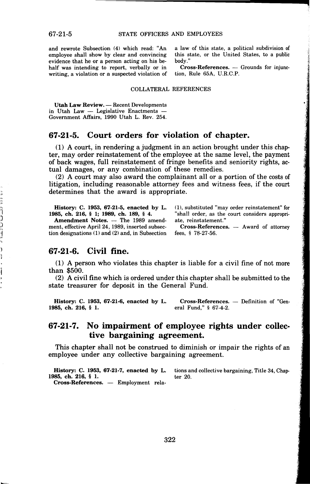and rewrote Subsection (4) which read: "An employee shall show by clear and convincing evidence that he or a person acting on his behalf was intending to report, verbally or in writing, a violation or a suspected violation of a law of this state, a political subdivision of this state, or the United States, to a public body."

**Cross-References.** - Grounds for injunction, Rule 65A, U.R.C.P.

#### COLLATERAL REFERENCES

Utah Law Review. - Recent Developments in Utah Law  $-$  Legislative Enactments -Government Affairs, 1990 Utah L. Rev. 254.

## **67-21-5. Court orders for violation of chapter.**

(1) A court, in rendering a judgment in an action brought under this chapter, may order reinstatement of the employee at the same level, the payment of back wages, full reinstatement of fringe benefits and seniority rights, actual damages, or any combination of these remedies.

(2) A court may also award the complainant all or a portion of the costs of litigation, including reasonable attorney fees and witness fees, if the court determines that the award is appropriate.

**History: C. 1953, 67-21-5, enacted by L. 1985, ch. 216,** § **1; 1989, ch. 189,** § **4.** 

Amendment Notes. - The 1989 amendment, effective April 24, 1989, inserted subsection designations (1) and (2) and, in Subsection (1), substituted "may order reinstatement" for "shall order, as the court considers appropriate, reinstatement."

Cross-References. - Award of attorney fees, § 78-27-56.

### **67-21-6. Civil fine.**

as an an an an am an an an an a

)<br>}

(1) A person who violates this chapter is liable for a civil fine of not more than \$500.

(2) A civil fine which is ordered under this chapter shall be submitted to the state treasurer for deposit in the General Fund.

**History: C. 1953, 67-21-6, enacted by L. 1985, ch. 216,** § **1. Cross-References.** - Definition of "General Fund," § 67-4-2.

## **67-21-7. No impairment of employee rights under collective bargaining agreement.**

This chapter shall not be construed to diminish or impair the rights of an employee under any collective bargaining agreement.

**History: C. 1953, 67-21-7, enacted by L.** tions and collective bargaining, Title 34, Chap-**1985, ch. 216,** § **1.** ter 20. **Cross-References.** - Employment rela-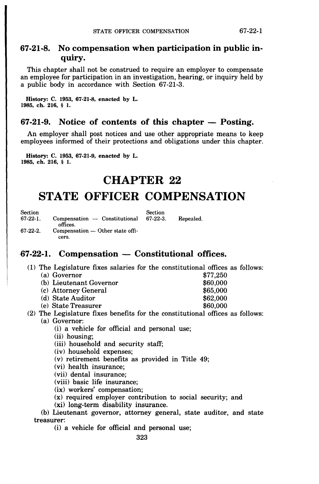## **67-21-8. No compensation when participation in public inquiry.**

This chapter shall not be construed to require an employer to compensate an employee for participation in an investigation, hearing, or inquiry held by a public body in accordance with Section 67-21-3.

**History: C. 1953, 67-21-8, enacted by L. 1985, ch. 216,** § **1.** 

## **67-21-9.** Notice of contents of this chapter — Posting.

An employer shall post notices and use other appropriate means to keep employees informed of their protections and obligations under this chapter.

**History: C. 1953, 67-21-9, enacted by L. 1985, ch. 216,** § **1.** 

## **CHAPTER 22**

# **STATE OFFICER COMPENSATION**

| Section  |                                            | Section  |           |
|----------|--------------------------------------------|----------|-----------|
| 67-22-1. | Compensation — Constitutional<br>offices.  | 67-22-3. | Repealed. |
| 67-22-2. | $Compenation - Other state offi-$<br>cers. |          |           |
|          |                                            |          |           |

## **-67-22-1. Compensation - Constitutional offices.**

(1) The Legislature fixes salaries for the constitutional offices as follows:

- (a) Governor \$77,250 (b) Lieutenant Governor  $$60,000$ (c) Attorney General  $$65,000$ (d) State Auditor \$62,000  $(e)$  State Treasurer
- (2) The Legislature fixes benefits for the constitutional offices as follows: (a) Governor:

(i) a vehicle for official and personal use;

- (ii) housing;
- (iii) household and security staff;
- (iv) household expenses;
- (v) retirement benefits as provided in Title 49;
- (vi) health insurance;
- (vii) dental insurance;
- (viii) basic life insurance;
- **(ix)** workers' compensation;
- (x) required employer contribution to social security; and
- (xi) long-term disability insurance.

(b) Lieutenant governor, attorney general, state auditor, and state treasurer:

(i) a vehicle for official and personal use;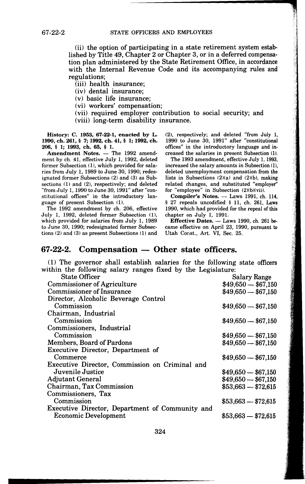(ii) the option of participating in a state retirement system established by Title 49, Chapter 2 or Chapter 3, or in a deferred compensation plan administered by the State Retirement Office, in accordance with the Internal Revenue Code and its accompanying rules and regulations;

(iii) health insurance;

(iv) dental insurance;

(v) basic life insurance;

(vi) workers' compensation;

(vii) required employer contribution to social security; and

(viii) long-term disability insurance.

**History: C. 1953, 67-22-1, enacted by L. 1990,ch.261,** § **7; 1992,ch.41,** § **l; 1992,ch. 206,** § **l; 1993, ch. 65,** § **1.** 

Amendment Notes. - The 1992 amendment by ch. 41, effective July 1, 1992, deleted former Subsection (1), which provided for salaries from July 1, 1989 to June 30, 1990; redesignated former Subsections (2) and (3) as Subsections (1) and (2), respectively; and deleted "from July 1, 1990 to June 30, 1991" after "constitutional offices" in the introductory language of present Subsection (1).

The 1992 amendment by ch. 206, effective July 1, 1992, deleted former Subsection (1), which provided for salaries from July 1, 1989 to June 30, 1990; redesignated former Subsections (2) and (3) as present Subsections (1) and (2), respectively; and deleted "from July 1, 1990 to June 30, 1991" after "constitutional offices" in the introductory language and increased the salaries in present Subsection (1).

The 1993 amendment, effective July 1, 1993, increased the salary amounts in Subsection (1), deleted unemployment compensation from the lists in Subsections  $(2)(a)$  and  $(2)(b)$ , making related changes, and substituted "employer'' for "employee" in Subsection (2)(b)(vii).

Compiler's Notes. - Laws 1991, ch. 114, § 27 repeals uncodified § 11, ch. 261, Laws 1990, which had provided for the repeal of this chapter on July 1, 1991.

**Effective Dates.** - Laws 1990, ch. 261 became effective on April 23, 1990, pursuant to Utah Const., Art. VI, Sec. 25.

## 67-22-2. Compensation - Other state officers.

(1) The governor shall establish salaries for the following state officers within the following salary ranges fixed by the Legislature:

| State Officer                                   | <b>Salary Range</b> |
|-------------------------------------------------|---------------------|
| <b>Commissioner of Agriculture</b>              | $$49,650 - $67,150$ |
| <b>Commissioner of Insurance</b>                | $$49,650 - $67,150$ |
| Director, Alcoholic Beverage Control            |                     |
| Commission                                      | $$49,650 - $67,150$ |
| Chairman, Industrial                            |                     |
| Commission                                      | $$49,650 - $67,150$ |
| Commissioners, Industrial                       |                     |
| Commission                                      | $$49,650 - $67,150$ |
| Members, Board of Pardons                       | $$49,650 - $67,150$ |
| Executive Director, Department of               |                     |
| Commerce                                        | $$49,650 - $67,150$ |
| Executive Director, Commission on Criminal and  |                     |
| Juvenile Justice                                | $$49,650 - $67,150$ |
| <b>Adjutant General</b>                         | $$49,650 - $67,150$ |
| Chairman, Tax Commission                        | $$53,663 - $72,615$ |
| Commissioners, Tax                              |                     |
| Commission                                      | $$53,663 - $72,615$ |
| Executive Director, Department of Community and |                     |
| <b>Economic Development</b>                     | $$53,663 - $72,615$ |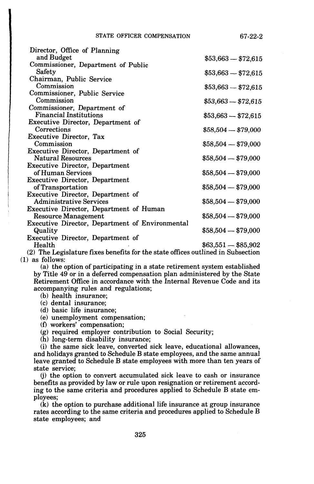| Director, Office of Planning                           |                     |
|--------------------------------------------------------|---------------------|
| and Budget                                             | $$53,663 - $72,615$ |
| Commissioner, Department of Public                     |                     |
| Safety                                                 | $$53,663 - $72,615$ |
| Chairman, Public Service                               |                     |
| Commission                                             | $$53,663 - $72,615$ |
| Commissioner, Public Service                           |                     |
| Commission                                             | $$53,663 - $72,615$ |
| Commissioner, Department of                            |                     |
| <b>Financial Institutions</b>                          | $$53,663 - $72,615$ |
| Executive Director, Department of                      |                     |
| Corrections                                            | $$58,504 - $79,000$ |
| Executive Director, Tax                                |                     |
| Commission                                             | $$58,504 - $79,000$ |
| Executive Director, Department of                      |                     |
| <b>Natural Resources</b>                               | $$58,504 - $79,000$ |
| <b>Executive Director, Department</b>                  |                     |
| of Human Services                                      | $$58,504 - $79,000$ |
| <b>Executive Director, Department</b>                  |                     |
| of Transportation                                      | $$58,504 - $79,000$ |
| Executive Director, Department of                      |                     |
| <b>Administrative Services</b>                         | $$58,504 - $79,000$ |
| Executive Director, Department of Human                |                     |
| <b>Resource Management</b>                             | $$58,504 - $79,000$ |
| <b>Executive Director, Department of Environmental</b> |                     |
| Quality                                                | $$58,504 - $79,000$ |
| Executive Director, Department of                      |                     |
| Health                                                 | $\$63,551-\$85,902$ |
|                                                        |                     |

(2) The Legislature fixes benefits for the state offices outlined in Subsection (1) as follows:

(a) the option of participating in a state retirement system established by Title 49 or in a deferred compensation plan administered by the State Retirement Office in accordance with the Internal Revenue Code and its accompanying rules and regulations;

- (b) health insurance;
- (c) dental insurance;
- (d) basic life insurance;

(e) unemployment compensation;

- (f) workers' compensation;
- (g) required employer contribution to Social Security;
- (h) long-term disability insurance;

(i) the same sick leave, converted sick leave, educational allowances, and holidays granted to Schedule B state employees, and the same annual leave granted to Schedule B state employees with more than ten years of state service;

(j) the option to convert accumulated sick leave to cash or insurance benefits as provided by law or rule upon resignation or retirement according to the same criteria and procedures applied to Schedule B state employees;

(k) the option to purchase additional life insurance at group insurance rates according to the same criteria and procedures applied to Schedule B state employees; and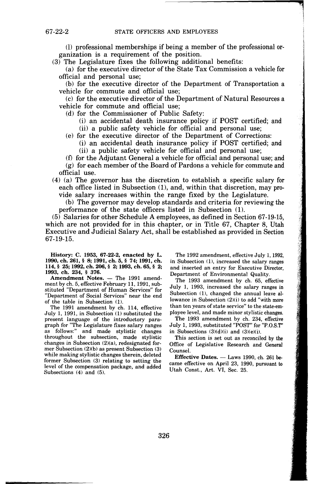(1) professional memberships if being a member of the professional organization is a requirement of the position.

(3) The Legislature fixes the following additional benefits:

(a) for the executive director of the State Tax Commission a vehicle for official and personal use;

(b) for the executive director of the Department of Transportation a vehicle for commute and official use;

(c) for the executive director of the Department of Natural Resources a vehicle for commute and official use;

(d) for the Commissioner of Public Safety:

(i) an accidental death insurance policy if POST certified; and

(ii) a public safety vehicle for official and personal use;

(e) for the executive director of the Department of Corrections:

(i) an accidental death insurance policy if POST certified; and (ii) a public safety vehicle for official and personal use;

(f) for the Adjutant General a vehicle for official and personal use; and

(g) for each member of the Board of Pardons a vehicle for commute and official use.

( 4) (a) The governor has the discretion to establish a specific salary for each office listed in Subsection (1), and, within that discretion, may pro-

vide salary increases within the range fixed by the Legislature.

(b) The governor may develop standards and criteria for reviewing the performance of the state officers listed in Subsection (1).

(5) Salaries for other Schedule A employees, as defined in Section 67-19-15, which are not provided for in this chapter, or in Title 67, Chapter 8, Utah Executive and Judicial Salary Act, shall be established as provided in Section 67-19-15.

**History: C. 1953, 67-22-2, enacted by L. 1990,ch.261,** § **8; 1991,ch.5,§ 74; 1991,ch. 114,** § **25; 1992, ch. 206,** § **2; 1993, ch. 65,** § **2; 1993, ch. 234,** § **376.** 

Amendment Notes. - The 1991 amendment by ch. 5, effective February 11, 1991, substituted "Department of Human Services" for "Department of Social Services" near the end of the table in Subsection (1).

The 1991 amendment by ch. 114, effective July 1, 1991, in Subsection (1) substituted the present language of the introductory paragraph for "The Legislature fixes salary ranges as follows:" and made stylistic changes throughout the subsection, made stylistic changes in Subsection (2)(a), redesignated former Subsection (2)(b) as present Subsection (3) while making stylistic changes therein, deleted former Subsection (3) relating to setting the level of the compensation package, and added Subsections (4) and (5).

The 1992 amendment, effective July 1, 1992, in Subsection  $(1)$ , increased the salary ranges and inserted an entry for Executive Director, Department of Environmental Quality.

The 1993 amendment by ch. 65, effective July 1, 1993, increased the salary ranges in Subsection (1), changed the annual leave allowance in Subsection (2)(i) to add "with more than ten years of state service" to the state-employee level, and made minor stylistic changes.

The 1993 amendment by ch. 234, effective July 1, 1993, substituted "POST" for "P.O.S.T'' in Subsections  $(3)(d)(i)$  and  $(3)(e)(i)$ .

This section is set out as reconciled by the Office of Legislative Research and General Counsel.

**Effective Dates.** - Laws 1990, ch. 261 became effective on April 23, 1990, pursuant to Utah Const., Art. VI, Sec. 25.